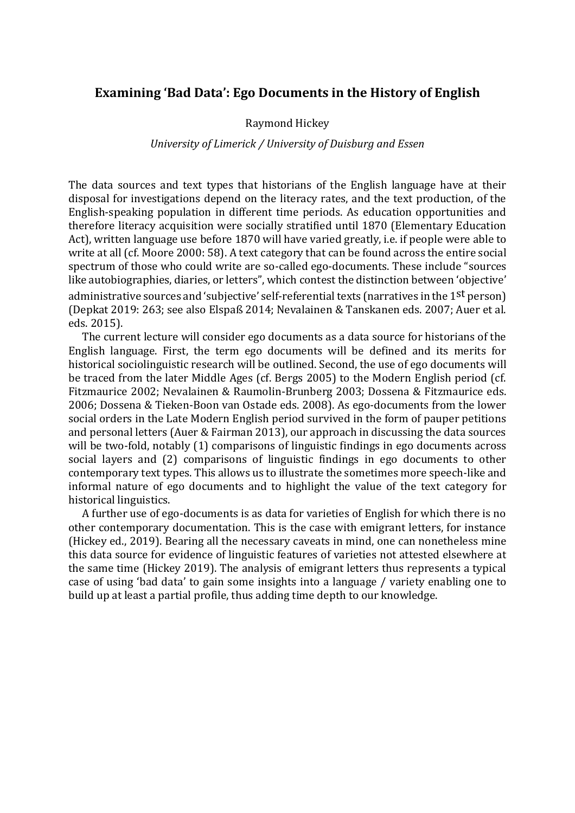## **Examining 'Bad Data': Ego Documents in the History of English**

## Raymond Hickey

## *University of Limerick / University of Duisburg and Essen*

The data sources and text types that historians of the English language have at their disposal for investigations depend on the literacy rates, and the text production, of the English-speaking population in different time periods. As education opportunities and therefore literacy acquisition were socially stratified until 1870 (Elementary Education Act), written language use before 1870 will have varied greatly, i.e. if people were able to write at all (cf. Moore 2000: 58). A text category that can be found across the entire social spectrum of those who could write are so-called ego-documents. These include "sources like autobiographies, diaries, or letters", which contest the distinction between 'objective' administrative sources and 'subjective' self-referential texts (narratives in the 1<sup>st</sup> person) (Depkat 2019: 263; see also Elspaß 2014; Nevalainen & Tanskanen eds. 2007; Auer et al. eds. 2015).

The current lecture will consider ego documents as a data source for historians of the English language. First, the term ego documents will be defined and its merits for historical sociolinguistic research will be outlined. Second, the use of ego documents will be traced from the later Middle Ages (cf. Bergs 2005) to the Modern English period (cf. Fitzmaurice 2002; Nevalainen & Raumolin-Brunberg 2003; Dossena & Fitzmaurice eds. 2006; Dossena & Tieken-Boon van Ostade eds. 2008). As ego-documents from the lower social orders in the Late Modern English period survived in the form of pauper petitions and personal letters (Auer & Fairman 2013), our approach in discussing the data sources will be two-fold, notably (1) comparisons of linguistic findings in ego documents across social layers and (2) comparisons of linguistic findings in ego documents to other contemporary text types. This allows us to illustrate the sometimes more speech-like and informal nature of ego documents and to highlight the value of the text category for historical linguistics.

A further use of ego-documents is as data for varieties of English for which there is no other contemporary documentation. This is the case with emigrant letters, for instance (Hickey ed., 2019). Bearing all the necessary caveats in mind, one can nonetheless mine this data source for evidence of linguistic features of varieties not attested elsewhere at the same time (Hickey 2019). The analysis of emigrant letters thus represents a typical case of using 'bad data' to gain some insights into a language / variety enabling one to build up at least a partial profile, thus adding time depth to our knowledge.